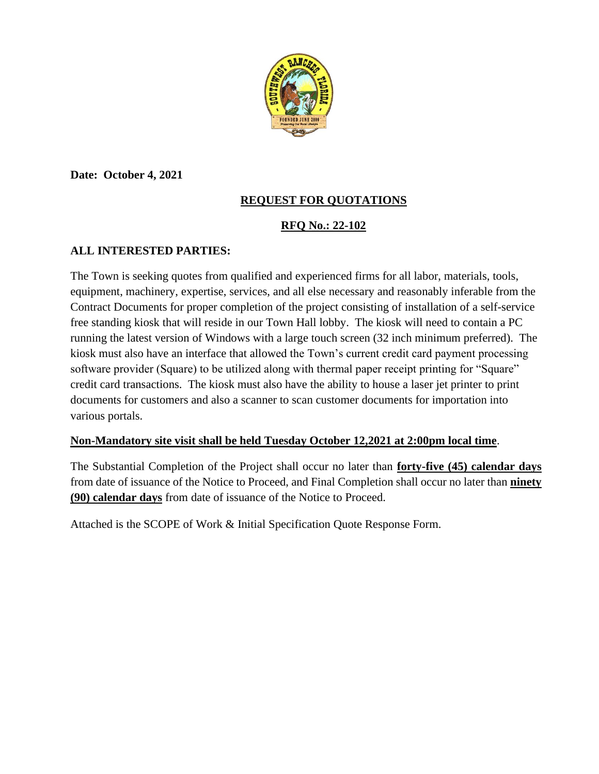

**Date: October 4, 2021**

## **REQUEST FOR QUOTATIONS**

## **RFQ No.: 22-102**

### **ALL INTERESTED PARTIES:**

The Town is seeking quotes from qualified and experienced firms for all labor, materials, tools, equipment, machinery, expertise, services, and all else necessary and reasonably inferable from the Contract Documents for proper completion of the project consisting of installation of a self-service free standing kiosk that will reside in our Town Hall lobby. The kiosk will need to contain a PC running the latest version of Windows with a large touch screen (32 inch minimum preferred). The kiosk must also have an interface that allowed the Town's current credit card payment processing software provider (Square) to be utilized along with thermal paper receipt printing for "Square" credit card transactions. The kiosk must also have the ability to house a laser jet printer to print documents for customers and also a scanner to scan customer documents for importation into various portals.

### **Non-Mandatory site visit shall be held Tuesday October 12,2021 at 2:00pm local time**.

The Substantial Completion of the Project shall occur no later than **forty-five (45) calendar days** from date of issuance of the Notice to Proceed, and Final Completion shall occur no later than **ninety (90) calendar days** from date of issuance of the Notice to Proceed.

Attached is the SCOPE of Work & Initial Specification Quote Response Form.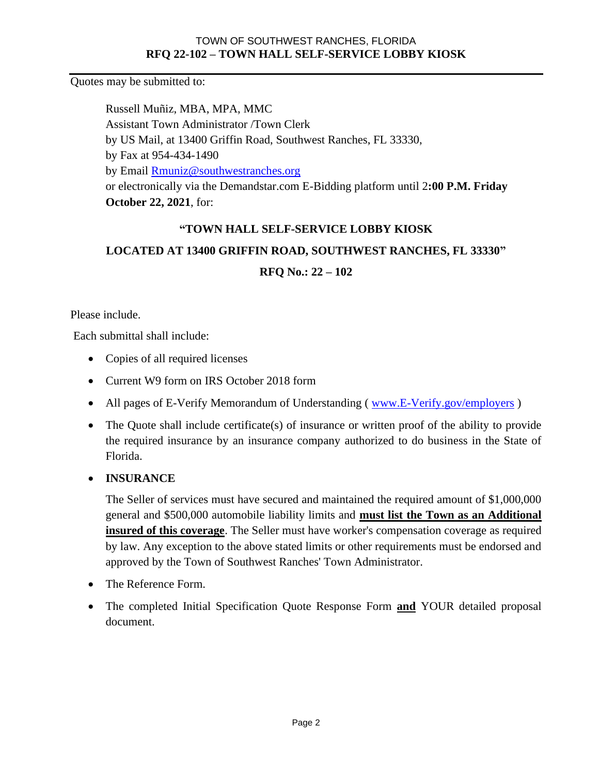Quotes may be submitted to:

Russell Muñiz, MBA, MPA, MMC Assistant Town Administrator /Town Clerk by US Mail, at 13400 Griffin Road, Southwest Ranches, FL 33330, by Fax at 954-434-1490 by Email [Rmuniz@southwestranches.org](mailto:Rmuniz@southwestranches.org)  or electronically via the Demandstar.com E-Bidding platform until 2**:00 P.M. Friday October 22, 2021**, for:

### **"TOWN HALL SELF-SERVICE LOBBY KIOSK**

## **LOCATED AT 13400 GRIFFIN ROAD, SOUTHWEST RANCHES, FL 33330"**

**RFQ No.: 22 – 102**

Please include.

Each submittal shall include:

- Copies of all required licenses
- Current W9 form on IRS October 2018 form
- All pages of E-Verify Memorandum of Understanding (www.E-Verify.gov/employers)
- The Quote shall include certificate(s) of insurance or written proof of the ability to provide the required insurance by an insurance company authorized to do business in the State of Florida.

### • **INSURANCE**

The Seller of services must have secured and maintained the required amount of \$1,000,000 general and \$500,000 automobile liability limits and **must list the Town as an Additional insured of this coverage**. The Seller must have worker's compensation coverage as required by law. Any exception to the above stated limits or other requirements must be endorsed and approved by the Town of Southwest Ranches' Town Administrator.

- The Reference Form.
- The completed Initial Specification Quote Response Form **and** YOUR detailed proposal document.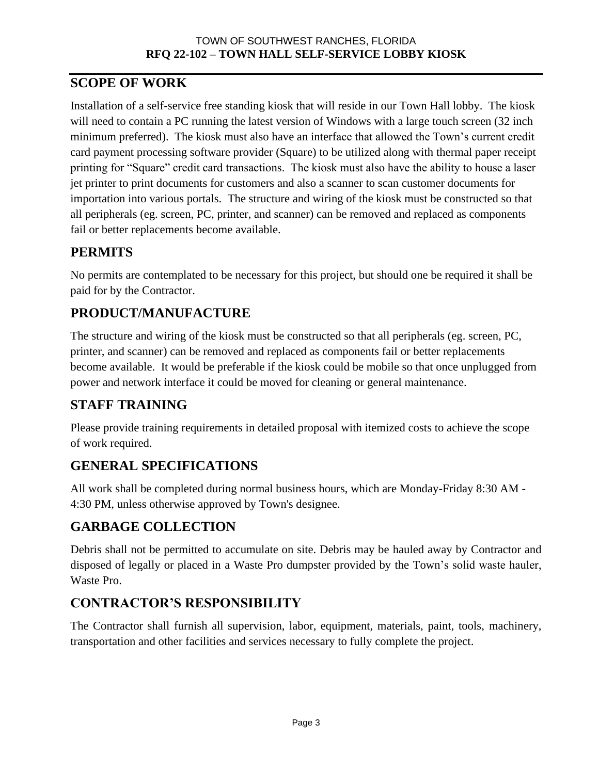# **SCOPE OF WORK**

Installation of a self-service free standing kiosk that will reside in our Town Hall lobby. The kiosk will need to contain a PC running the latest version of Windows with a large touch screen (32 inch minimum preferred). The kiosk must also have an interface that allowed the Town's current credit card payment processing software provider (Square) to be utilized along with thermal paper receipt printing for "Square" credit card transactions. The kiosk must also have the ability to house a laser jet printer to print documents for customers and also a scanner to scan customer documents for importation into various portals. The structure and wiring of the kiosk must be constructed so that all peripherals (eg. screen, PC, printer, and scanner) can be removed and replaced as components fail or better replacements become available.

# **PERMITS**

No permits are contemplated to be necessary for this project, but should one be required it shall be paid for by the Contractor.

# **PRODUCT/MANUFACTURE**

The structure and wiring of the kiosk must be constructed so that all peripherals (eg. screen, PC, printer, and scanner) can be removed and replaced as components fail or better replacements become available. It would be preferable if the kiosk could be mobile so that once unplugged from power and network interface it could be moved for cleaning or general maintenance.

# **STAFF TRAINING**

Please provide training requirements in detailed proposal with itemized costs to achieve the scope of work required.

# **GENERAL SPECIFICATIONS**

All work shall be completed during normal business hours, which are Monday-Friday 8:30 AM - 4:30 PM, unless otherwise approved by Town's designee.

## **GARBAGE COLLECTION**

Debris shall not be permitted to accumulate on site. Debris may be hauled away by Contractor and disposed of legally or placed in a Waste Pro dumpster provided by the Town's solid waste hauler, Waste Pro.

# **CONTRACTOR'S RESPONSIBILITY**

The Contractor shall furnish all supervision, labor, equipment, materials, paint, tools, machinery, transportation and other facilities and services necessary to fully complete the project.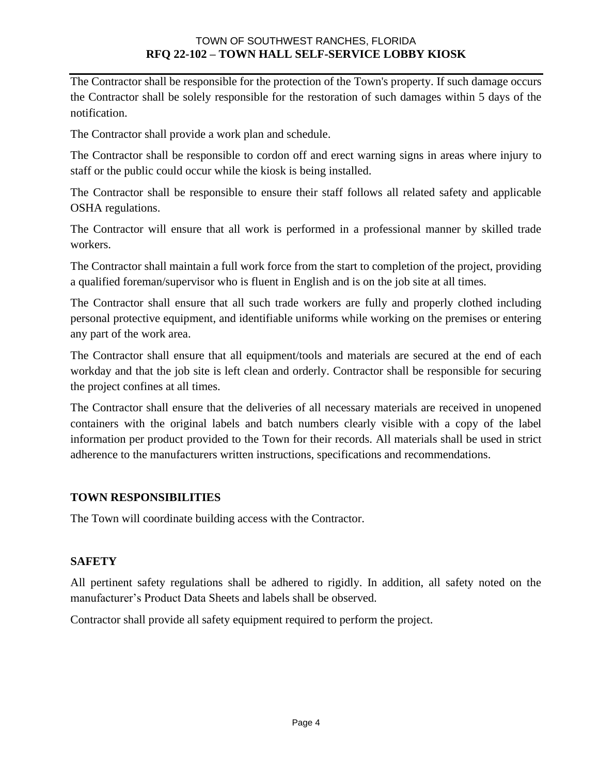The Contractor shall be responsible for the protection of the Town's property. If such damage occurs the Contractor shall be solely responsible for the restoration of such damages within 5 days of the notification.

The Contractor shall provide a work plan and schedule.

The Contractor shall be responsible to cordon off and erect warning signs in areas where injury to staff or the public could occur while the kiosk is being installed.

The Contractor shall be responsible to ensure their staff follows all related safety and applicable OSHA regulations.

The Contractor will ensure that all work is performed in a professional manner by skilled trade workers.

The Contractor shall maintain a full work force from the start to completion of the project, providing a qualified foreman/supervisor who is fluent in English and is on the job site at all times.

The Contractor shall ensure that all such trade workers are fully and properly clothed including personal protective equipment, and identifiable uniforms while working on the premises or entering any part of the work area.

The Contractor shall ensure that all equipment/tools and materials are secured at the end of each workday and that the job site is left clean and orderly. Contractor shall be responsible for securing the project confines at all times.

The Contractor shall ensure that the deliveries of all necessary materials are received in unopened containers with the original labels and batch numbers clearly visible with a copy of the label information per product provided to the Town for their records. All materials shall be used in strict adherence to the manufacturers written instructions, specifications and recommendations.

### **TOWN RESPONSIBILITIES**

The Town will coordinate building access with the Contractor.

### **SAFETY**

All pertinent safety regulations shall be adhered to rigidly. In addition, all safety noted on the manufacturer's Product Data Sheets and labels shall be observed.

Contractor shall provide all safety equipment required to perform the project.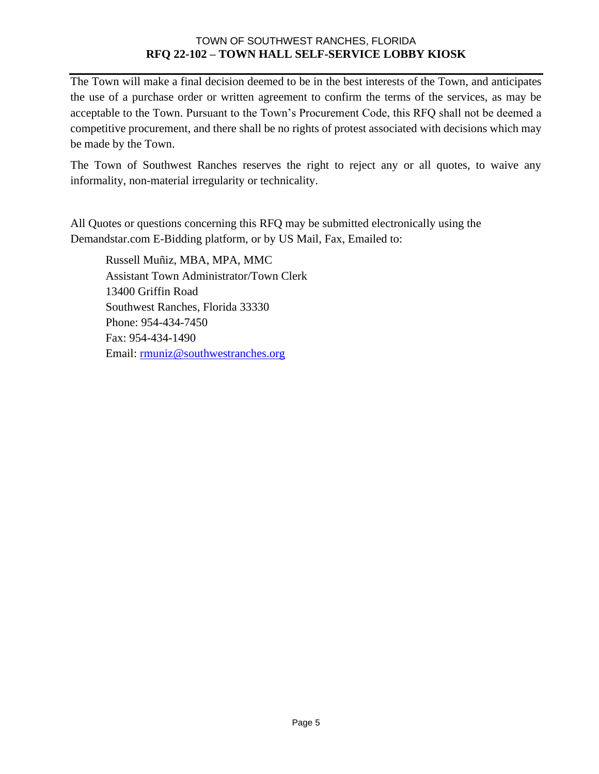The Town will make a final decision deemed to be in the best interests of the Town, and anticipates the use of a purchase order or written agreement to confirm the terms of the services, as may be acceptable to the Town. Pursuant to the Town's Procurement Code, this RFQ shall not be deemed a competitive procurement, and there shall be no rights of protest associated with decisions which may be made by the Town.

The Town of Southwest Ranches reserves the right to reject any or all quotes, to waive any informality, non-material irregularity or technicality.

All Quotes or questions concerning this RFQ may be submitted electronically using the Demandstar.com E-Bidding platform, or by US Mail, Fax, Emailed to:

Russell Muñiz, MBA, MPA, MMC Assistant Town Administrator/Town Clerk 13400 Griffin Road Southwest Ranches, Florida 33330 Phone: 954-434-7450 Fax: 954-434-1490 Email: [rmuniz@southwestranches.org](mailto:rmuniz@southwestranches.org)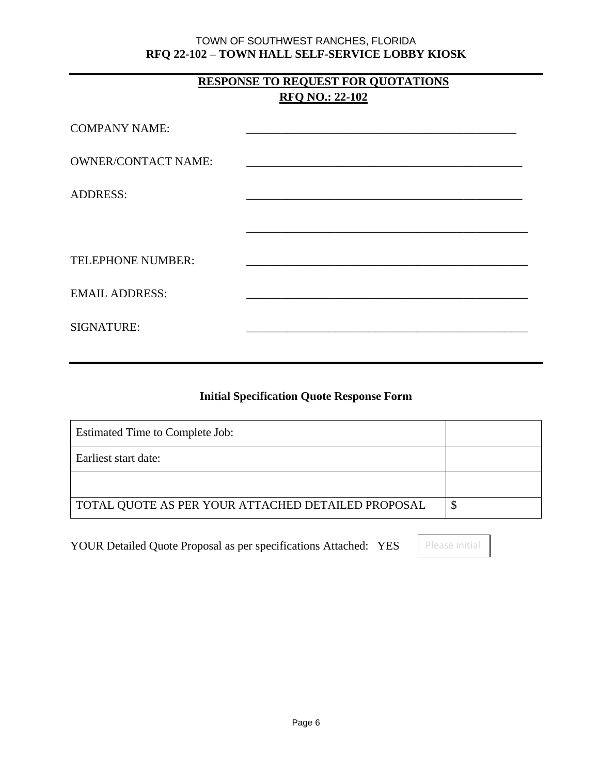## **RESPONSE TO REQUEST FOR QUOTATIONS RFQ NO.: 22-102**

| <b>COMPANY NAME:</b>       | the control of the control of the control of the control of the control of |
|----------------------------|----------------------------------------------------------------------------|
| <b>OWNER/CONTACT NAME:</b> |                                                                            |
| <b>ADDRESS:</b>            |                                                                            |
|                            |                                                                            |
| TELEPHONE NUMBER:          |                                                                            |
| <b>EMAIL ADDRESS:</b>      |                                                                            |
| <b>SIGNATURE:</b>          |                                                                            |

### **Initial Specification Quote Response Form**

| Estimated Time to Complete Job:                    |  |
|----------------------------------------------------|--|
| Earliest start date:                               |  |
|                                                    |  |
| TOTAL QUOTE AS PER YOUR ATTACHED DETAILED PROPOSAL |  |

YOUR Detailed Quote Proposal as per specifications Attached: YES Please initial